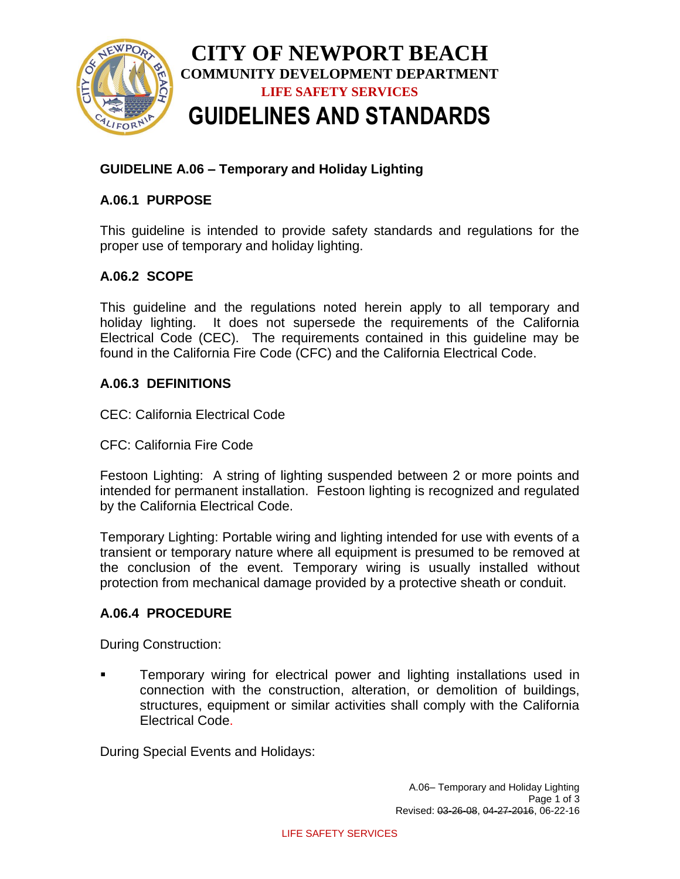

# **GUIDELINE A.06 – Temporary and Holiday Lighting**

# **A.06.1 PURPOSE**

This guideline is intended to provide safety standards and regulations for the proper use of temporary and holiday lighting.

## **A.06.2 SCOPE**

This guideline and the regulations noted herein apply to all temporary and holiday lighting. It does not supersede the requirements of the California Electrical Code (CEC). The requirements contained in this guideline may be found in the California Fire Code (CFC) and the California Electrical Code.

#### **A.06.3 DEFINITIONS**

CEC: California Electrical Code

CFC: California Fire Code

Festoon Lighting: A string of lighting suspended between 2 or more points and intended for permanent installation. Festoon lighting is recognized and regulated by the California Electrical Code.

Temporary Lighting: Portable wiring and lighting intended for use with events of a transient or temporary nature where all equipment is presumed to be removed at the conclusion of the event. Temporary wiring is usually installed without protection from mechanical damage provided by a protective sheath or conduit.

#### **A.06.4 PROCEDURE**

During Construction:

 Temporary wiring for electrical power and lighting installations used in connection with the construction, alteration, or demolition of buildings, structures, equipment or similar activities shall comply with the California Electrical Code.

During Special Events and Holidays: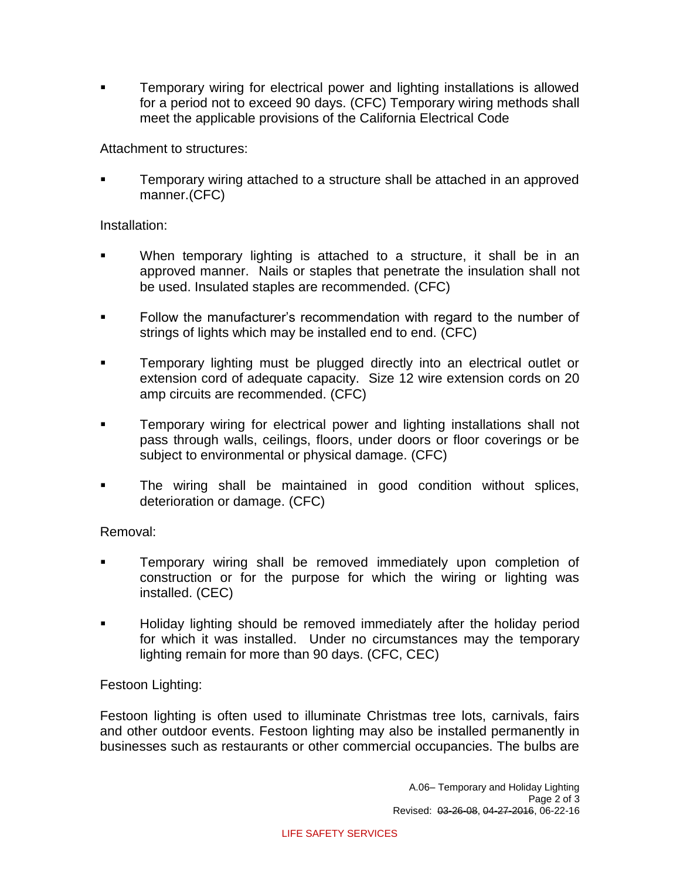Temporary wiring for electrical power and lighting installations is allowed for a period not to exceed 90 days. (CFC) Temporary wiring methods shall meet the applicable provisions of the California Electrical Code

Attachment to structures:

 Temporary wiring attached to a structure shall be attached in an approved manner.(CFC)

## Installation:

- When temporary lighting is attached to a structure, it shall be in an approved manner. Nails or staples that penetrate the insulation shall not be used. Insulated staples are recommended. (CFC)
- **Follow the manufacturer's recommendation with regard to the number of** strings of lights which may be installed end to end. (CFC)
- Temporary lighting must be plugged directly into an electrical outlet or extension cord of adequate capacity. Size 12 wire extension cords on 20 amp circuits are recommended. (CFC)
- Temporary wiring for electrical power and lighting installations shall not pass through walls, ceilings, floors, under doors or floor coverings or be subject to environmental or physical damage. (CFC)
- The wiring shall be maintained in good condition without splices, deterioration or damage. (CFC)

Removal:

- **Temporary wiring shall be removed immediately upon completion of** construction or for the purpose for which the wiring or lighting was installed. (CEC)
- Holiday lighting should be removed immediately after the holiday period for which it was installed. Under no circumstances may the temporary lighting remain for more than 90 days. (CFC, CEC)

Festoon Lighting:

Festoon lighting is often used to illuminate Christmas tree lots, carnivals, fairs and other outdoor events. Festoon lighting may also be installed permanently in businesses such as restaurants or other commercial occupancies. The bulbs are